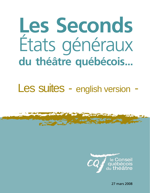# **Les Seconds**  États généraux **du théâtre québécois...**

# Les suites - english version -



27 mars 2008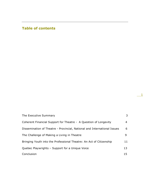# **Table of contents**

| The Executive Summary                                                    | 3  |
|--------------------------------------------------------------------------|----|
| Coherent Financial Support for Theatre - A Question of Longevity         | 4  |
| Dissemination of Theatre - Provincial, National and International Issues | 6  |
| The Challenge of Making a Living in Theatre                              | 9. |
| Bringing Youth into the Professional Theatre: An Act of Citizenship      | 11 |
| Quebec Playwrights - Support for a Unique Voice                          | 13 |
| Conclusion                                                               | 15 |

 $\overline{-1}$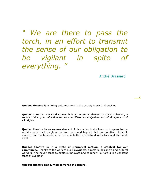*" We are there to pass the torch, in an effort to transmit the sense of our obligation to be vigilant in spite of everything. "*

André Brassard

2

**Quebec theatre is a living art**, anchored in the society in which it evolves.

**Quebec theatre is a vital space**. It is an essential element of social cohesion, a source of dialogue, reflection and escape offered to all Quebeckers, of all ages and of all origins.

**Quebec theatre is an expressive art**. It is a voice that allows us to speak to the world around us through works from here and beyond that are creative, classical, modern and contemporary, so we can better understand ourselves and the work itself.

**Quebec theatre is in a state of perpetual motion, a catalyst for our community.** Thanks to the work of our playwrights, directors, designers and cultural workers, who never cease to explore, innovate and to renew, our art is in a constant state of evolution.

**Quebec theatre has turned towards the future.**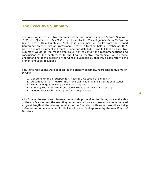# **The Executive Summary**

The following is an Executive Summary of the document *Les Seconds États Généraux du theatre Québécois – Les Suites*, published by the *Conseil québécois du théâtre* on World Theatre Day, March 27, 2008. It is a summary of results from the Second Conference on the State of Professional Theatre in Quebec, held in October of 2007. As the original document in French is long and detailed, it was felt that an Executive Summary would be the most perspicuous way to convey the recommendations and conclusions of the conference to the English theatre community. For a precise understanding of the position of the Conseil québécois du théâtre, please refer to the French-language document.

Fifty-nine resolutions were adopted at the plenary assembly, representing five major thrusts:

- 1. Coherent Financial Support for Theatre: a Question of Longevity
- 2. Dissemination of Theatre: The Provincial, National and International Issues
- 3. The Challenge of Making a Living in Theatre
- 4. Bringing Youth into the Professional Theatre: An Act of Citizenship
- 5. Quebec Playwrights Support for a Unique Voice

All of these themes were discussed in workshop round tables during one entire day of the conference, and the resulting recommendations and resolutions were debated at great length at the plenary session on the final day, with some resolutions being defeated and others retained for deliberation and final approval by the new Board of Directors.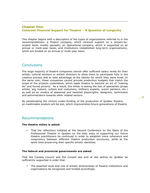# **Chapter One: Coherent Financial Support for Theatre - A Question of Longevity**

This chapter begins with a description of the types of organizations referred to in the recommendations: a *Project* company, which receives support on a project-byproject basis, mostly sporadic; an *Operational* company, which is supported on an annual or multi-year basis; and *Institutions* (established long-term organizations), which are funded on an annual or multi-year basis.

# **Conclusions**

The large majority of theatre companies cannot offer sufficient salary levels for their artists, cultural workers or artistic directors to allow them to participate fully in the creative process and to take advantage of the talents for which they were hired. In the same vein, these companies cannot provide production budgets that match the scope of the projects undertaken, which leads theatre to become an art of "making do" and forced poverty. As a result, the milieu is seeing the loss of specialists (props artists, wig makers, cutters and costumers, millinery experts, scenic painters, etc.) as well as an exodus of seasoned and talented playwrights, designers, technicians and administrators towards other related sectors.

By perpetuating the chronic under-funding of the production of Quebec theatre, an inestimable wisdom will be lost, which impoverishes future generations of theatre.

# Recommendations

## **The theatre milieu is asked:**

• That the reflections initiated at the Second Conference on the State of the Professional Theatre in Quebec on the best ways of supporting our future theatre practitioners be continued in order to establish more coherence and congruency between different theatre production structures, while at the same time preserving their specific artistic identities.

#### **The federal and provincial governments are asked:**

That the Canada Council and the *Conseil des arts et des lettres du Québec* be sufficiently supported in order that:

• The essential work and role of artistic directorships of theatre institutions and organizations be recognized and funded accordingly.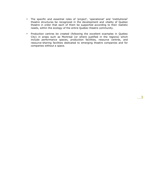- The specific and essential roles of 'project', 'operational' and 'institutional' theatre structures be recognized in the development and vitality of Quebec theatre in order that each of them be supported according to their realistic needs, within the ecology of the entire Quebec theatre community.
- Production centres be created (following the excellent examples in Quebec City) in areas such as Montreal (or where justified in the regions) which include performance spaces, production facilities, resource centres, and resource-sharing facilities dedicated to emerging theatre companies and for companies without a space.

5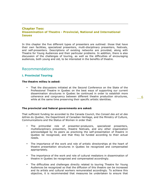# **Chapter Two: Dissemination of Theatre - Provincial, National and International Issues**

In this chapter the five different types of presenters are outlined: those that have their own facilities, specialized presenters, multi-disciplinary presenters, festivals, and self-presenters. Descriptions of existing networks are provided, along with Theatre for Young Audiences and their particular problems. In addition, there is also discussion of the challenges of touring, as well as the difficulties of encouraging audiences, both young and old, to be interested in the benefits of theatre.

# Recommendations

## **i. Provincial Touring**

#### **The theatre milieu is asked:**

• That the discussions initiated at the Second Conference on the State of the Professional Theatre in Quebec on the best ways of supporting our current dissemination structures in Quebec be continued in order to establish more coherence and congruency between different theatre production structures, while at the same time preserving their specific artistic identities.

#### **The provincial and federal governments are asked:**

That sufficient funding be accorded to the Canada Council, the *Conseil des art et des lettres du Quebec*, the Department of Canadian Heritage, and the Ministry of Culture, Communications and the Status of Women in order that:

- The primordial role of presenter-producers, specialized presenters, multidisciplinary presenters, theatre festivals, and any other organization acknowledged by its peers as practicing the self-presentation of theatre in Quebec be recognized, and that they be funded according to their actual needs.
- The importance of the work and role of artistic directorships at the heart of theatre presentation structures in Quebec be recognized and compensated appropriately.
- The importance of the work and role of cultural mediators in dissemination of theatre in Quebec be recognized and compensated accordingly.
- The difficulties and challenges directly related to touring Theatre for Young Audiences be recognized so that the diffusion of this theatre can be increased and its artists and cultural workers remunerated accordingly. To achieve this objective, it is recommended that measures be undertaken to ensure that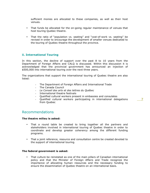sufficient monies are allocated to these companies, as well as their host venues.

- That funds be allocated for the on-going regular maintenance of venues that host touring Quebec theatre.
- That the ratio of "population vs. seating" and "cost-of-work vs. seating" be revised in order to encourage the development of smaller venues dedicated to the touring of Quebec theatre throughout the province.

# **ii. International Touring**

In this section, the decline of support over the past 8 to 10 years from the Department of Foreign Affairs and CALQ is discussed. Within this discussion it is acknowledged that the provincial government has announced an injection of \$500,000 into international touring over the next three years.

The organizations that support the international touring of Quebec theatre are also listed:

- The Department of Foreign Affairs and International Trade
- The Canada Council
- *Le Conseil des arts et des lettres du Québec*
- 
- International theatre festivals<br>- Oualified cultural workers pres - Qualified cultural workers present in embassies and consulates
- Qualified cultural workers participating in international delegations from Quebec

# Recommendations

## **The theatre milieu is asked:**

- That a round table be created to bring together all the partners and stakeholders involved in international touring of Quebec theatre in order to coordinate and develop greater coherency among the different funding programs.
- That a joint reference, resource and consultation centre be created devoted to the support of international touring.

#### **The federal government is asked:**

• That culture be reinstated as one of the main pillars of Canadian international policy and that the Minister of Foreign Affairs and Trade recognize the importance of allocating human resources and the necessary funding to ensure the dissemination of Quebec theatre on an international basis.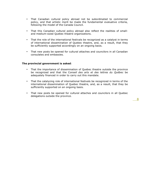- That Canadian cultural policy abroad not be subordinated to commercial policy, and that artistic merit be made the fundamental evaluative criteria, following the model of the Canada Council.
- That this Canadian cultural policy abroad also reflect the realities of smalland medium-sized Quebec theatre organizations.
- That the role of the international festivals be recognized as a catalyst in terms of international dissemination of Quebec theatre, and, as a result, that they be sufficiently supported accordingly on an ongoing basis.
- That new posts be opened for cultural attaches and councilors in all Canadian consulates and embassies.

#### **The provincial government is asked**:

- That the importance of dissemination of Quebec theatre outside the province be recognized and that the C*onseil des arts et des lettres du Québec* be adequately financed in order to carry out this mandate.
- That the catalyzing role of international festivals be recognized in terms of the international dissemination of Quebec theatre, and, as a result, that they be sufficiently supported on an ongoing basis.
- That new posts be opened for cultural attaches and councilors in all Quebec delegations outside the province.

8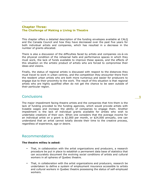# **Chapter Three: The Challenge of Making a Living in Theatre**

This chapter offers a detailed description of the funding envelopes available at CALQ and the Canada Council and how they have decreased over the past five years for both individual artists and companies, which has resulted in a decrease in the number of grants allocated.

There is also a discussion of the difficulties faced by artists and companies vis-à-vis the physical condition of the rehearsal halls and performance spaces in which they must work, the lack of funds available to improve these spaces, and the effects of this situation on the artistic product of artists who are forced to compromise their ideas and visions.

Finally, the status of regional artists is discussed with respect to the distances they must travel to work in urban centres, and the competition they encounter there from the resident urban artists who are both more numerous and easier for producers to engage due to their proximity to the work. The result of this situation is that regional artists who are highly qualified often do not get the chance to be seen outside of their particular region.

# **Conclusions**

The major impediment facing theatre artists and the companies that hire them is the lack of funding provided to the funding agencies, which would provide artists with liveable wages and increase the ability of companies to engage them. Another impediment is the lack of individual grants available for artists who wish to undertake creations of their own. When one considers that the average income for an individual artist on a grant is \$2,000 per month, or \$24,000 annually, one can understand that an artist cannot totally devote their time to the creative process, regardless of experience, age or desire.

# Recommendations

# **The theatre milieu is asked:**

- That, in collaboration with the artist organizations and producers, a research procedure be put in place to establish a permanent data base of statistics that can accurately document the evolving social conditions of artists and cultural workers in all spheres of Quebec theatre.
- That, in collaboration with the artist organizations and producers, research be undertaken to define a system of employment insurance accessible to artists and cultural workers in Quebec theatre possessing the status of self-employed workers.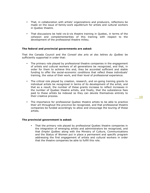- That, in collaboration with artists' organizations and producers, reflections be made on the issue of family-work equilibrium for artists and cultural workers in Quebec theatre.
- That discussions be held vis-à-vis theatre training in Quebec, in terms of the cohesion and complementarities of this training with respect to the development of the professional theatre milieu.

#### **The federal and provincial governments are asked:**

That the Canada Council and the *Conseil des arts et des lettres du Québec* be sufficiently supported in order that:

- The primary role played by professional theatre companies in the engagement of artists and cultural workers of all generations be recognized, and that, in order for them to achieve this end, they be accorded sufficient and stable funding to offer the social-economic conditions that reflect these individuals' training, the value of their work, and their level of professional experience.
- The critical role played by creation, research, and on-going training grants to individual artists be recognized in terms of its development of the artist, and that as a result, the number of these grants increase to reflect increases in the number of Quebec theatre artists, and finally, that the subsistence fees paid to these artists be indexed so they can devote themselves entirely to their creative process.
- The importance for professional Quebec theatre artists to be able to practice their art throughout the province be recognized, and that professional theatre companies be funded accordingly to allow and encourage the touring of these artists.

#### **The provincial government is asked:**

• That the primary role played by professional Quebec theatre companies in the integration of emerging artists and administrators be recognized, and that *Emploi Québec* along with the Ministry of Culture, Communications and the Status of Women put in place a permanent and specific program addressing the first engagement of artists and cultural workers in order that the theatre companies be able to fulfill this role.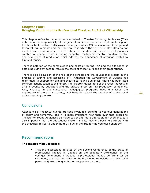# **Chapter Four: Bringing Youth into the Professional Theatre: An Act of Citizenship**

This chapter refers to the importance attached to Theatre for Young Audiences (TYA) in terms of the responsibility of the general public and the school systems to support this branch of theatre. It discusses the ways in which TYA has increased in scope and technical requirements and that the venues in which they currently play often do not meet those requirements. It also refers to the different types of performances created for young people, including puppetry, multimedia theatre, creative theatre and new styles of production which address the abundance of offerings related to film and music.

There is notation of the complexities and costs of touring TYA and the difficulties of obtaining sufficient fees to recoup the costs of these tours and their preparations.

There is also discussion of the role of the schools and the educational system in the process of touring and accessing TYA. Although the Government of Quebec has reaffirmed its support for bringing theatre to young audiences, there has been little concrete actions taken to this effect. The chapter makes note of the recent boycott of artistic events by educators and the drastic effect on TYA production companies. Also, changes in the educational pedagogical programs have diminished the importance of the arts in society, and have decreased the number of professional artists teaching the arts.

# **Conclusions**

Attendance of theatrical events provides invaluable benefits to younger generations of today and tomorrow, and it is more important now than ever that access to Theatre for Young Audiences be made easier and more affordable for everyone. It is also important that the educational system and its teachers become partners with the theatrical milieu to underline the value of the arts for the younger generation.

# Recommendations

#### **The theatre milieu is asked:**

• That the discussions initiated at the Second Conference of the State of Professional Theatre in Quebec on the obligatory attendance of the younger generations in Quebec to professional theatre performances be continued, and that this reflection be broadened to include all professional performing arts, along with their respective partners.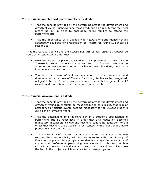#### **The provincial and federal governments are asked:**

- That the benefits provided by the performing arts to the development and growth of young Quebeckers be recognized, and as a result, that the fiscal means be put in place to encourage entire families to attend the performing arts.
- That the importance of a Quebec-wide network of performance venues adequately equipped for presentation of Theatre for Young Audiences be recognized.

That the Canada Council and the *Conseil des arts et des lettres du Québec* be sufficiently supported in order that:

- Measures be put in place dedicated to the improvement of fees paid to Theatre for Young Audience companies, and that financial resources be accorded to host venues in order to achieve these objectives, particularly in an educational context.
- The important role of cultural mediation of the production and dissemination structures of Theatre for Young Audiences be recognized, not just in terms of the 'educational' context but with the 'general public' as well, and that this work be remunerated appropriately.

#### **The provincial government is asked:**

- That the benefits provided by the performing arts to the development and growth of young Quebeckers be recognized, and as a result, that regular attendance of artistic events become mandatory for all Quebec students during their formative years.
- That the determining role teachers play in a student's appreciation of performing arts be recognized in order that arts' education becomes mandatory in teachers' college and teachers' continuing education, to the effect that teachers are placed in direct contact with professional theatre productions and their artists.
- That the Ministry of Culture, Communications and the Status of Women resume their responsibility within their entente with the Ministry of Education to put in place programmes that encourage the attendance of students at professional performing arts events in order to stimulate contact between artists and students, and, that the cultural milieu take the lead in the projects which emanate from these programs.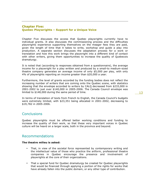# **Chapter Five: Quebec Playwrights – Support for a Unique Voice**

Chapter Five discusses the access that Quebec playwrights currently have to individual grants. It also discusses the commissioning process and the difficulties playwrights experience supporting themselves on the meager fees they are paid, given the length of time that it takes to write, workshop and guide a play into production. A separate section discusses the adaptation process for a work or translation and how this work brings the playwright into a different kind of contact with other writers, giving them opportunities to increase the quality of Quebecois dramaturgy.

It is noted that (according to responses obtained from a questionnaire), the average income for a playwright for a play written and produced by a small-to medium-sized theatre company generates an average income of only \$5,000 per play, with only 4% of playwrights reporting an income greater than \$20,000 a year.

Furthermore, the level of grants accorded by the funding bodies does not reflect the increasing number of writers that are coming onto the Quebec scene, with statistics showing that the envelope accorded to writers by CALQ decreased from \$233,000 in 2001-2002 to just over \$140,000 in 2005-2006. The Canada Council envelope was limited to \$148,000 during the same period of time.

In terms of translation of texts from French to English, the Canada Council's budgets were extremely limited, with \$23,351 being allocated in 2001-2002, decreasing to \$19,782 in 2005-2006.

# **Conclusions**

Quebec playwrights must be offered better working conditions and funding to increase the quality of their work, so that these very important voices in Quebec culture will be heard on a larger scale, both in the province and beyond.

# Recommendations

## **The theatre milieu is asked:**

- That, in view of the societal force represented by contemporary writing and the intellectual value of those who practice the artform, professional theatre companies in Quebec encourage the presence and involvement of playwrights at the core of their organizations.
- That a special fund for Quebec dramaturgy be created for Quebec playwrights that would be financed through applying a portion of the rights for works that have already fallen into the public domain, or any other type of contribution.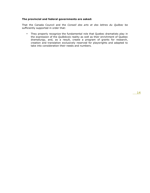# **The provincial and federal governments are asked:**

That the Canada Council and the *Conseil des arts et des lettres du Québec* be sufficiently supported in order that:

• They properly recognize the fundamental role that Quebec dramatists play in the expression of the *Québécois* reality as well as their enrichment of Quebec dramaturgy, and, as a result, create a program of grants for research, creation and translation exclusively reserved for playwrights and adapted to take into consideration their needs and numbers.

14